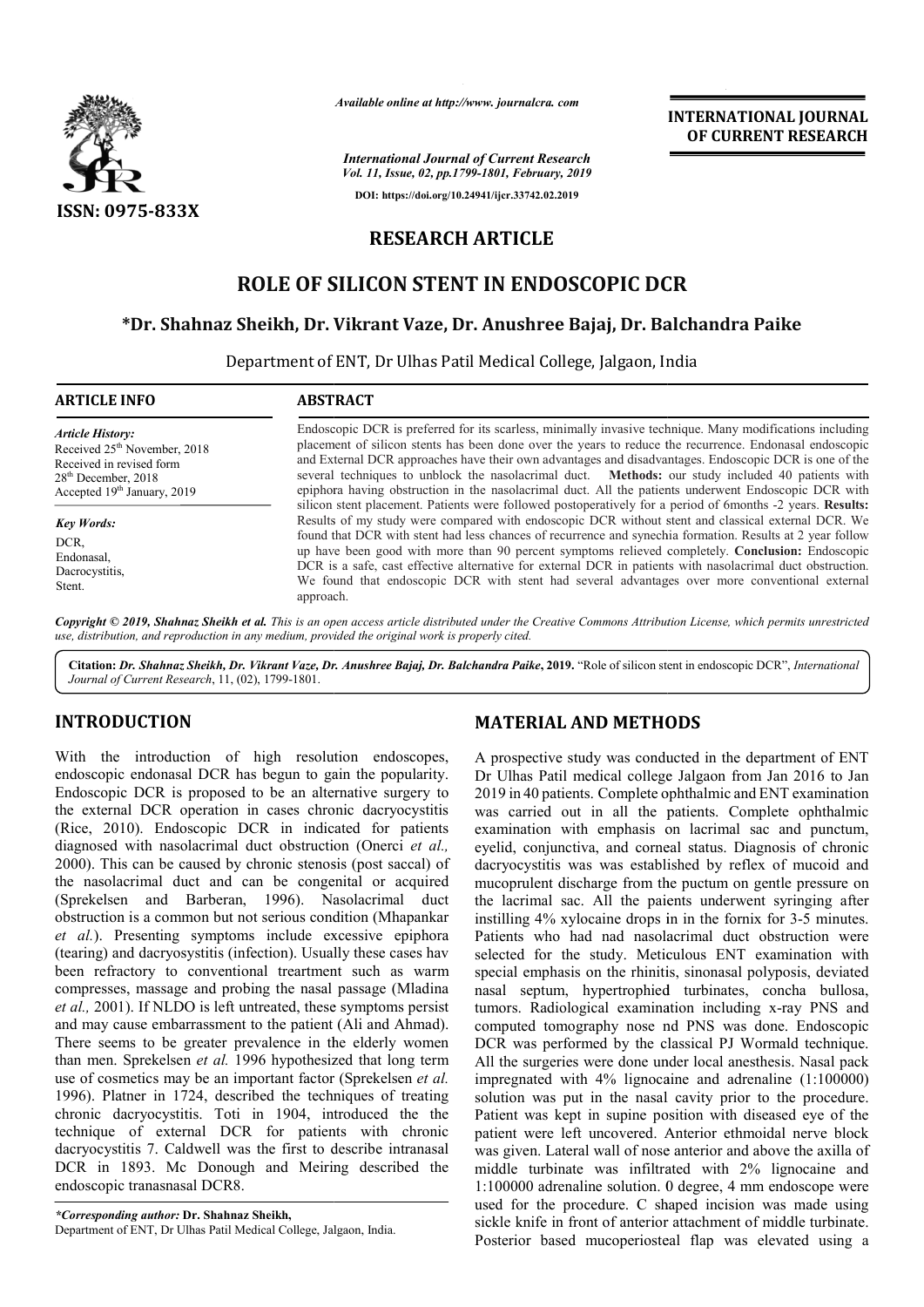

*Available online at http://www. journalcra. com*

*International Journal of Current Research Vol. 11, Issue, 02, pp.1799-1801, February, 2019* **DOI: https://doi.org/10.24941/ijcr.33742.02.2019**

### **INTERNATIONAL JOURNAL OF CURRENT RESEARCH**

## **RESEARCH ARTICLE**

## **ROLE OF SILICON STENT IN ENDOSCOPIC DCR**

# **\*Dr. Shahnaz Sheikh, Dr. Vikrant Vaze, Dr. Anushree Bajaj, Dr. Balchandra ENDOSCOPIC DCRBalchandra Paike**

Department of ENT, Dr Ulhas Patil Medical College, Jalgaon, India

| <b>ARTICLE INFO</b>                                                                                                                                                 | <b>ABSTRACT</b>                                                                                                                                                                                                                                                                                                                                                                                                                                                                                                                                                                                                                                                                                                                                                                                                                                                                                                                                                                                                                                                                                                                                                                                                    |
|---------------------------------------------------------------------------------------------------------------------------------------------------------------------|--------------------------------------------------------------------------------------------------------------------------------------------------------------------------------------------------------------------------------------------------------------------------------------------------------------------------------------------------------------------------------------------------------------------------------------------------------------------------------------------------------------------------------------------------------------------------------------------------------------------------------------------------------------------------------------------------------------------------------------------------------------------------------------------------------------------------------------------------------------------------------------------------------------------------------------------------------------------------------------------------------------------------------------------------------------------------------------------------------------------------------------------------------------------------------------------------------------------|
| <b>Article History:</b><br>Received 25 <sup>th</sup> November, 2018<br>Received in revised form<br>$28th$ December, 2018<br>Accepted 19 <sup>th</sup> January, 2019 | Endoscopic DCR is preferred for its scarless, minimally invasive technique. Many modifications including<br>placement of silicon stents has been done over the years to reduce the recurrence. Endonasal endoscopic<br>and External DCR approaches have their own advantages and disadvantages. Endoscopic DCR is one of the<br>several techniques to unblock the nasolacrimal duct. Methods: our study included 40 patients with<br>epiphora having obstruction in the nasolacrimal duct. All the patients underwent Endoscopic DCR with<br>silicon stent placement. Patients were followed postoperatively for a period of 6months -2 years. Results:<br>Results of my study were compared with endoscopic DCR without stent and classical external DCR. We<br>found that DCR with stent had less chances of recurrence and synechia formation. Results at 2 year follow<br>up have been good with more than 90 percent symptoms relieved completely. <b>Conclusion:</b> Endoscopic<br>DCR is a safe, cast effective alternative for external DCR in patients with nasolacrimal duct obstruction.<br>We found that endoscopic DCR with stent had several advantages over more conventional external<br>approach. |
| <b>Key Words:</b><br>DCR.<br>Endonasal.<br>Dacrocystitis,<br>Stent.                                                                                                 |                                                                                                                                                                                                                                                                                                                                                                                                                                                                                                                                                                                                                                                                                                                                                                                                                                                                                                                                                                                                                                                                                                                                                                                                                    |

Copyright © 2019, Shahnaz Sheikh et al. This is an open access article distributed under the Creative Commons Attribution License, which permits unrestrictea *use, distribution, and reproduction in any medium, provided the original work is properly cited.* 

Citation: Dr. Shahnaz Sheikh, Dr. Vikrant Vaze, Dr. Anushree Bajaj, Dr. Balchandra Paike, 2019. "Role of silicon stent in endoscopic DCR", International *Journal of Current Research*, 11, (02), 1799-1801.

#### **INTRODUCTION**

With the introduction of high resolution endoscopes, endoscopic endonasal DCR has begun to gain the popularity. Endoscopic DCR is proposed to be an alternative surgery to the external DCR operation in cases chronic dacryocystitis (Rice, 2010). Endoscopic DCR in indicated for patients diagnosed with nasolacrimal duct obstruction (Onerci *et al.,* 2000). This can be caused by chronic stenosis (post saccal) of the nasolacrimal duct and can be congenital or acquired (Sprekelsen and Barberan, 1996). Nasolacrimal d duct obstruction is a common but not serious condition (Mhapankar *et al.*). Presenting symptoms include excessive epiphora (tearing) and dacryosystitis (infection). Usually these cases hav been refractory to conventional treartment such as warm compresses, massage and probing the nasal passage (Mladina *et al.,* 2001). If NLDO is left untreated, these symptoms persist and may cause embarrassment to the patient (Ali and Ahmad). There seems to be greater prevalence in the elderly women than men. Sprekelsen *et al.* 1996 hypothesized that long term use of cosmetics may be an important factor (Sprekelsen *et al.* 1996). Platner in 1724, described the techniques of treating chronic dacryocystitis. Toti in 1904, introduced the the technique of external DCR for patients with chronic dacryocystitis 7. Caldwell was the first to describe intranasal DCR in 1893. Mc Donough and Meiring described the endoscopic tranasnasal DCR8.

*\*Corresponding author:* **Dr. Shahnaz Sheikh,**  Department of ENT, Dr Ulhas Patil Medical College, Jalgaon, India.

#### **MATERIAL AND METHODS**

A prospective study was conducted in the department of ENT A prospective study was conducted in the department of ENT<br>Dr Ulhas Patil medical college Jalgaon from Jan 2016 to Jan 2019 in 40 patients. Complete ophthalmic and ENT examination was carried out in all the patients. Complete ophthalmic examination with emphasis on lacrimal sac and punctum, eyelid, conjunctiva, and corneal status. Diagnosis of chronic dacryocystitis was was established by reflex of mucoid and dacryocystitis was was established by reflex of mucoid and mucoprulent discharge from the puctum on gentle pressure on the lacrimal sac. All the paients underwent syringing after the lacrimal sac. All the paients underwent syringing after instilling 4% xylocaine drops in in the fornix for 3-5 minutes. Patients who had nad nasolacrimal duct obstruction were selected for the study. Meticulous ENT examination with Patients who had nad nasolacrimal duct obstruction were selected for the study. Meticulous ENT examination with special emphasis on the rhinitis, sinonasal polyposis, deviated nasal septum, hypertrophied turbinates, concha bullosa, tumors. Radiological examination including x-ray PNS and computed tomography nose nd PNS was done. Endoscopic DCR was performed by the classical PJ Wormald technique. All the surgeries were done under local anesthesis. Nasal pack impregnated with 4% lignocaine and adrenaline (1:100000) impregnated with  $4\%$  lignocaine and adrenaline  $(1:100000)$  solution was put in the nasal cavity prior to the procedure. Patient was kept in supine position with diseased eye of the patient were left uncovered. Anterior ethmoidal nerve block was given. Lateral wall of nose anterior and above the axilla of middle turbinate was infiltrated with 2% lignocaine and 1:100000 adrenaline solution. 0 degree, 4 mm endoscope were used for the procedure. C shaped incision was made using sickle knife in front of anterior attachment of middle turbinate Posterior based mucoperiosteal flap was elevated using a kept in supine position with diseased eye of the<br>left uncovered. Anterior ethmoidal nerve block<br>ateral wall of nose anterior and above the axilla of<br>inate was infiltrated with 2% lignocaine and<br>renaline solution. 0 degree, **INTERNATIONAL JOURNAL OF CURRENT RESEARCH OF CURRENT RESEARCH OF CURRENT RESEARCH**  $\theta$ **, and**  $\theta$ **, and**  $\theta$ **, and**  $\theta$  **is an above in resumence. Endonasial endoscription is to reduce in the vector control in the patients u**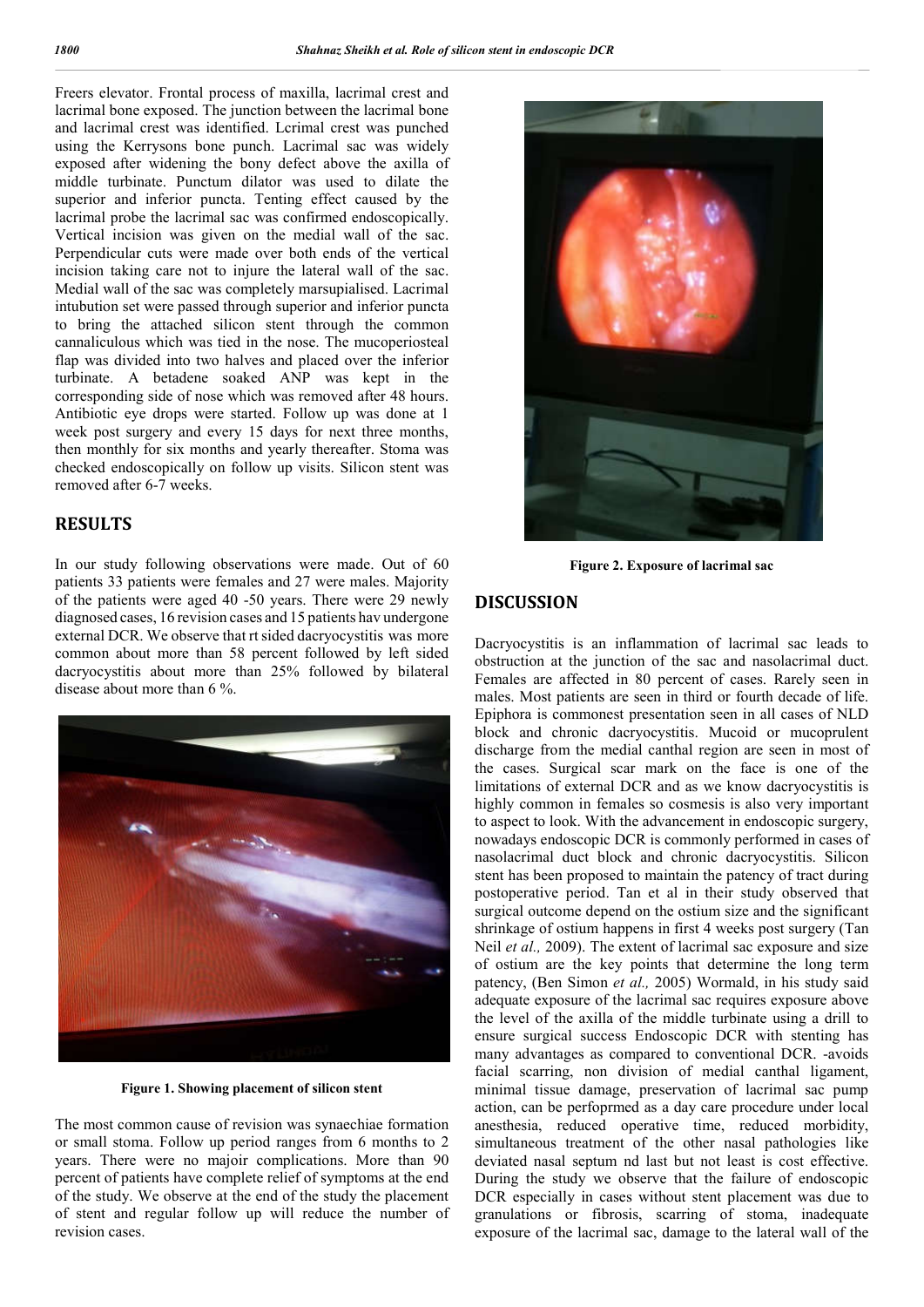Freers elevator. Frontal process of maxilla, lacrimal crest and lacrimal bone exposed. The junction between the lacrimal bone and lacrimal crest was identified. Lcrimal crest was punched using the Kerrysons bone punch. Lacrimal sac was widely exposed after widening the bony defect above the axilla of middle turbinate. Punctum dilator was used to dilate the superior and inferior puncta. Tenting effect caused by the lacrimal probe the lacrimal sac was confirmed endoscopically. Vertical incision was given on the medial wall of the sac. Perpendicular cuts were made over both ends of the vertical incision taking care not to injure the lateral wall of the sac. Medial wall of the sac was completely marsupialised. Lacrimal intubution set were passed through superior and inferior puncta to bring the attached silicon stent through the common cannaliculous which was tied in the nose. The mucoperiosteal flap was divided into two halves and placed over the inferior turbinate. A betadene soaked ANP was kept in the corresponding side of nose which was removed after 48 hours. Antibiotic eye drops were started. Follow up was done at 1 week post surgery and every 15 days for next three months, then monthly for six months and yearly thereafter. Stoma was checked endoscopically on follow up visits. Silicon stent was removed after 6-7 weeks.

#### **RESULTS**

In our study following observations were made. Out of 60 patients 33 patients were females and 27 were males. Majority of the patients were aged 40 -50 years. There were 29 newly diagnosed cases, 16 revision cases and 15 patients hav undergone external DCR. We observe that rt sided dacryocystitis was more common about more than 58 percent followed by left sided dacryocystitis about more than 25% followed by bilateral disease about more than 6 %.



**Figure 1. Showing placement of silicon stent**

The most common cause of revision was synaechiae formation or small stoma. Follow up period ranges from 6 months to 2 years. There were no majoir complications. More than 90 percent of patients have complete relief of symptoms at the end of the study. We observe at the end of the study the placement of stent and regular follow up will reduce the number of revision cases.



**Figure 2. Exposure of lacrimal sac**

### **DISCUSSION**

Dacryocystitis is an inflammation of lacrimal sac leads to obstruction at the junction of the sac and nasolacrimal duct. Females are affected in 80 percent of cases. Rarely seen in males. Most patients are seen in third or fourth decade of life. Epiphora is commonest presentation seen in all cases of NLD block and chronic dacryocystitis. Mucoid or mucoprulent discharge from the medial canthal region are seen in most of the cases. Surgical scar mark on the face is one of the limitations of external DCR and as we know dacryocystitis is highly common in females so cosmesis is also very important to aspect to look. With the advancement in endoscopic surgery, nowadays endoscopic DCR is commonly performed in cases of nasolacrimal duct block and chronic dacryocystitis. Silicon stent has been proposed to maintain the patency of tract during postoperative period. Tan et al in their study observed that surgical outcome depend on the ostium size and the significant shrinkage of ostium happens in first 4 weeks post surgery (Tan Neil *et al.,* 2009). The extent of lacrimal sac exposure and size of ostium are the key points that determine the long term patency, (Ben Simon *et al.,* 2005) Wormald, in his study said adequate exposure of the lacrimal sac requires exposure above the level of the axilla of the middle turbinate using a drill to ensure surgical success Endoscopic DCR with stenting has many advantages as compared to conventional DCR. -avoids facial scarring, non division of medial canthal ligament, minimal tissue damage, preservation of lacrimal sac pump action, can be perfoprmed as a day care procedure under local anesthesia, reduced operative time, reduced morbidity, simultaneous treatment of the other nasal pathologies like deviated nasal septum nd last but not least is cost effective. During the study we observe that the failure of endoscopic DCR especially in cases without stent placement was due to granulations or fibrosis, scarring of stoma, inadequate exposure of the lacrimal sac, damage to the lateral wall of the